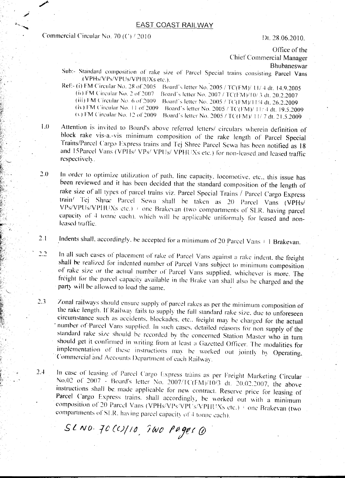## **EAST COAST RAILWAY**

Commercial Circular No. 70 (C) / 2010

Dt. 28.06.2010.

Office of the Chier Commercial Manager Bhubaneswar

- Sub:- Standard composition of rake size of Parcel Special trains consisting Parcel Vans (VPHs/vPsIVPUsIVPHUXs etc.). .
- Ref:- (i) FM Circular No. 28 of 2005 Board's letter No. 2005 / TC(FM)/ 1.1/ 4 dt. 14.9.2005 (ii) FM Circular No. 2 of 2007 [[Board's letter No. 2007 */* TC(FM)/10/ 3 dt. 20.2.2007 (iii) FM Circular No. 6 of 2009 Board's letter No. 2005 / TC(FM)/11/4 dt. 26.2.2009 (Iv) FM Circular No. 11 of 2009 Board's letter No. 2005 / TC(FM)/ $11/4$  dt. 19.5.2009 (v) FM Circular No. 12 of 2009 Board's letter No. 2005 / TC(FM)/ 11/7 dt. 21.5.2009
- $1.0$ Attention is invited to Board's above referred letters/ circulars wherein definition of block rake vis-a.-vis minimum composition of the rake length of Parcel Special Trains/Parcel Cargo Express trains and Tej Shrec Parcel Sewa has been notified as 18 and 15Parcel Vans (VPHs/ VPs/ VPUs/ VPHUXs etc.) for non-leased and leased traffic respectively.
- $2.0$ In order to optimize utilization of path. line capacity, locomotive, etc., this issue has heen reviewed and it has been decided that the standard composition of the length of rake size of all types of parcel trains viz. Parcel Special Trains / Parcel Cargo Express train/ Tej Shree Parcel Sewa shall be taken as 20 Parcel Vans (VPHs VPs/VPUs/VPHUXs etc.)  $\pm$  one Brakevan (two compartments of SLR, having parcel capacity of 4 tonne each), which will be applicable uniformaly for leased and nonleased traffic.
- Indents shall, accordingly, be accepted for a minimum of 20 Parcel Vans  $\pm$  1 Brakevan.  $2.1$
- $2.2$ In all such cases of placement of rake of Parcel Vans against a rake indent, the freight shall be realized for indented number of Parcel Vans subject to minimum composition of rake size or the actual number of Parcel Vans supplied. whichever is more. The freight for the parcel capacity available in the Brake van shall also be charged and the party will be allowed to load the same.
- Zonal railways should ensure supply of parcel rakes as per the minimum composition of  $2.3$ the rake length. If Railway fails to supply the full standard rake size, due to unforeseen circumstance such as accidents. blockades, etc.. freight may be charged for the actual number of Parcel Vans supplied. In such cases, detailed reasons for non supply of the standard rake size should be recorded by the concerned Station Master who in turn should get it confirmed in writing from at least a Gazetted Officer. The modalities for implementation of these instructions may be worked out jointly by Operating, Commercial and Accounts Department of each Railway.
- In case of leasing of Parcel Cargo Express trains as per Freight Marketing Circular  $2.4$ No.02 of 2007 - Board's letter No. 2007/TC(FM)/10/3 dt. 20.02.2007, the above instructions shall be made applicable for new contract. Reserve price for leasing of Parcel Cargo Express trains. shall accordingly, be worked out with a minimum composition of 20 Parcel Vans (VPHs/VPs/VPU s/VPIIUXs etc.) i one Brakevan (two compartments of SLR, having parcel capacity of 4 tonne each).

 $SLOO. 70CO/10. 700 PageO$